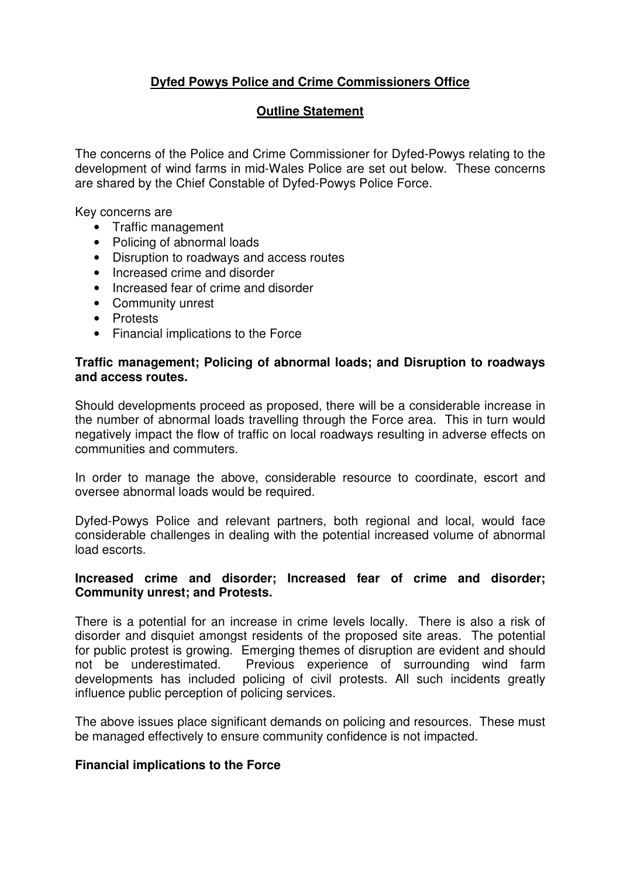# **Dyfed Powys Police and Crime Commissioners Office**

## **Outline Statement**

The concerns of the Police and Crime Commissioner for Dyfed-Powys relating to the development of wind farms in mid-Wales Police are set out below. These concerns are shared by the Chief Constable of Dyfed-Powys Police Force.

Key concerns are

- Traffic management
- Policing of abnormal loads
- Disruption to roadways and access routes
- Increased crime and disorder
- Increased fear of crime and disorder
- Community unrest
- Protests
- Financial implications to the Force

#### **Traffic management; Policing of abnormal loads; and Disruption to roadways and access routes.**

Should developments proceed as proposed, there will be a considerable increase in the number of abnormal loads travelling through the Force area. This in turn would negatively impact the flow of traffic on local roadways resulting in adverse effects on communities and commuters.

In order to manage the above, considerable resource to coordinate, escort and oversee abnormal loads would be required.

Dyfed-Powys Police and relevant partners, both regional and local, would face considerable challenges in dealing with the potential increased volume of abnormal load escorts.

### **Increased crime and disorder; Increased fear of crime and disorder; Community unrest; and Protests.**

There is a potential for an increase in crime levels locally. There is also a risk of disorder and disquiet amongst residents of the proposed site areas. The potential for public protest is growing. Emerging themes of disruption are evident and should not be underestimated. Previous experience of surrounding wind farm developments has included policing of civil protests. All such incidents greatly influence public perception of policing services.

The above issues place significant demands on policing and resources. These must be managed effectively to ensure community confidence is not impacted.

### **Financial implications to the Force**